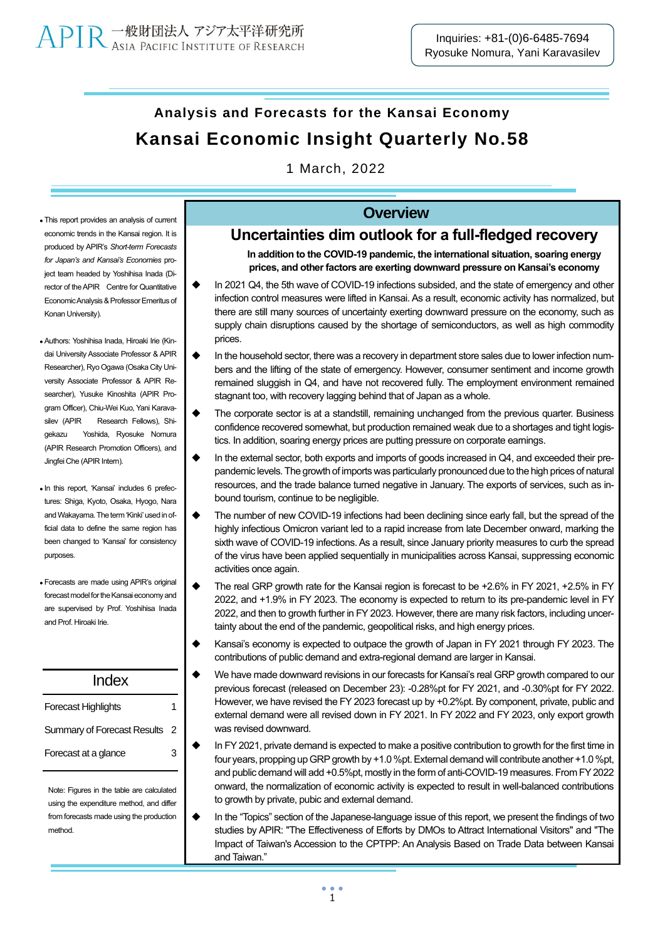# **Analysis and Forecasts for the Kansai Economy Kansai Economic Insight Quarterly No.58**

1 March, 2022

- ⚫ This report provides an analysis of current economic trends in the Kansai region. It is produced by APIR's *Short-term Forecasts for Japan's and Kansai's Economies* project team headed by Yoshihisa Inada (Director of the APIR Centre for Quantitative Economic Analysis&Professor Emeritus of Konan University).
- ⚫ Authors: Yoshihisa Inada, Hiroaki Irie (Kindai University Associate Professor & APIR Researcher), Ryo Ogawa (Osaka City University Associate Professor & APIR Researcher), Yusuke Kinoshita (APIR Program Officer), Chiu-Wei Kuo, Yani Karavasilev (APIR Research Fellows), Shigekazu Yoshida, Ryosuke Nomura (APIR Research Promotion Officers), and Jingfei Che (APIR Intern).
- ⚫ In this report, 'Kansai' includes 6 prefectures: Shiga, Kyoto, Osaka, Hyogo, Nara and Wakayama. The term'Kinki' usedin official data to define the same region has been changed to 'Kansai' for consistency purposes.
- ⚫ Forecasts are made using APIR's original forecast model for the Kansai economy and are supervised by Prof. Yoshihisa Inada and Prof. Hiroaki Irie.

| Index                         |   |
|-------------------------------|---|
| <b>Forecast Highlights</b>    |   |
| Summary of Forecast Results 2 |   |
| Forecast at a glance          | з |
|                               |   |

Note: Figures in the table are calculated using the expenditure method, and differ from forecasts made using the production method.

#### **Uncertainties dim outlook for a full-fledged recovery**

**Overview**

**In addition to the COVID-19 pandemic, the international situation, soaring energy prices, and other factors are exerting downward pressure on Kansai's economy**

- In 2021 Q4, the 5th wave of COVID-19 infections subsided, and the state of emergency and other infection control measures were lifted in Kansai. As a result, economic activity has normalized, but there are still many sources of uncertainty exerting downward pressure on the economy, such as supply chain disruptions caused by the shortage of semiconductors, as well as high commodity prices.
- In the household sector, there was a recovery in department store sales due to lower infection numbers and the lifting of the state of emergency. However, consumer sentiment and income growth remained sluggish in Q4, and have not recovered fully. The employment environment remained stagnant too, with recovery lagging behind that of Japan as a whole.
- The corporate sector is at a standstill, remaining unchanged from the previous quarter. Business confidence recovered somewhat, but production remained weak due to a shortages and tight logistics. In addition, soaring energy prices are putting pressure on corporate earnings.
- In the external sector, both exports and imports of goods increased in Q4, and exceeded their prepandemic levels. The growth of imports was particularly pronounced due to the high prices of natural resources, and the trade balance turned negative in January. The exports of services, such as inbound tourism, continue to be negligible.
- The number of new COVID-19 infections had been declining since early fall, but the spread of the highly infectious Omicron variant led to a rapid increase from late December onward, marking the sixth wave of COVID-19 infections. As a result, since January priority measures to curb the spread of the virus have been applied sequentially in municipalities across Kansai, suppressing economic activities once again.
- The real GRP growth rate for the Kansai region is forecast to be +2.6% in FY 2021, +2.5% in FY 2022, and +1.9% in FY 2023. The economy is expected to return to its pre-pandemic level in FY 2022, and then to growth further in FY 2023. However, there are many risk factors, including uncertainty about the end of the pandemic, geopolitical risks, and high energy prices.
- Kansai's economy is expected to outpace the growth of Japan in FY 2021 through FY 2023. The contributions of public demand and extra-regional demand are larger in Kansai.
- We have made downward revisions in our forecasts for Kansai's real GRP growth compared to our previous forecast (released on December 23): -0.28%pt for FY 2021, and -0.30%pt for FY 2022. However, we have revised the FY 2023 forecast up by +0.2%pt. By component, private, public and external demand were all revised down in FY 2021. In FY 2022 and FY 2023, only export growth was revised downward.
- In FY 2021, private demand is expected to make a positive contribution to growth for the first time in four years, propping up GRP growth by +1.0 %pt. External demand will contribute another +1.0 %pt, and public demand will add +0.5%pt, mostly in the form of anti-COVID-19 measures. From FY 2022 onward, the normalization of economic activity is expected to result in well-balanced contributions to growth by private, pubic and external demand.
- In the "Topics" section of the Japanese-language issue of this report, we present the findings of two studies by APIR: "The Effectiveness of Efforts by DMOs to Attract International Visitors" and "The Impact of Taiwan's Accession to the CPTPP: An Analysis Based on Trade Data between Kansai and Taiwan."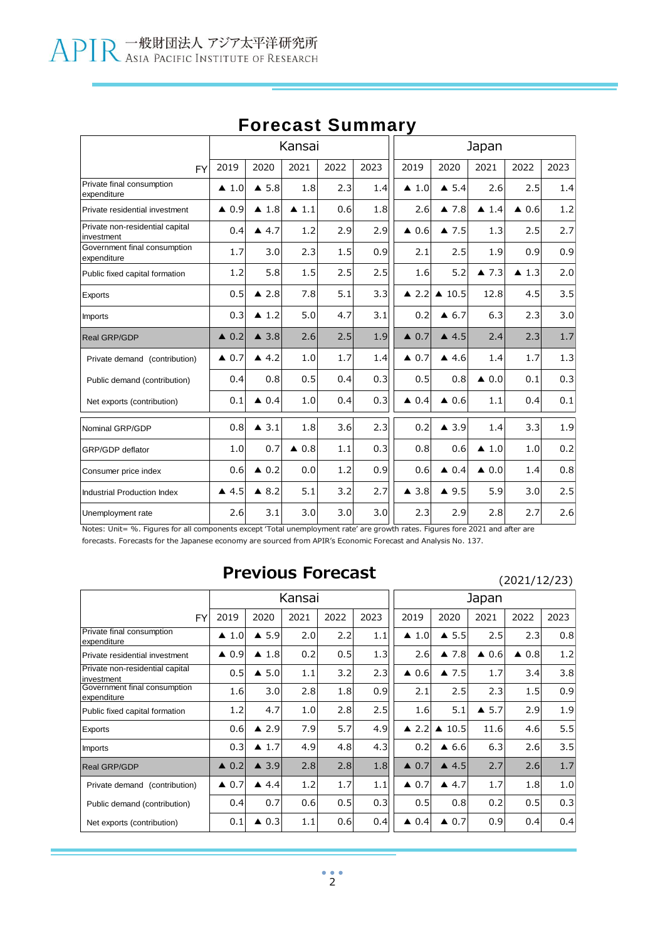|                                               | Kansai               |                      |                      |      |      | Japan                |                       |                      |                      |      |  |  |
|-----------------------------------------------|----------------------|----------------------|----------------------|------|------|----------------------|-----------------------|----------------------|----------------------|------|--|--|
| <b>FY</b>                                     | 2019                 | 2020                 | 2021                 | 2022 | 2023 | 2019                 | 2020                  | 2021                 | 2022                 | 2023 |  |  |
| Private final consumption<br>expenditure      | $\blacktriangle$ 1.0 | $\blacktriangle$ 5.8 | 1.8                  | 2.3  | 1.4  | $\blacktriangle$ 1.0 | $\blacktriangle$ 5.4  | 2.6                  | 2.5                  | 1.4  |  |  |
| Private residential investment                | $\triangle$ 0.9      | $\blacktriangle$ 1.8 | $\blacktriangle$ 1.1 | 0.6  | 1.8  | 2.6                  | $\blacktriangle$ 7.8  | $\blacktriangle$ 1.4 | $\triangle$ 0.6      | 1.2  |  |  |
| Private non-residential capital<br>investment | 0.4                  | $\blacktriangle$ 4.7 | 1.2                  | 2.9  | 2.9  | $\triangle$ 0.6      | $\blacktriangle$ 7.5  | 1.3                  | 2.5                  | 2.7  |  |  |
| Government final consumption<br>expenditure   | 1.7                  | 3.0                  | 2.3                  | 1.5  | 0.9  | 2.1                  | 2.5                   | 1.9                  | 0.9                  | 0.9  |  |  |
| Public fixed capital formation                | 1.2                  | 5.8                  | 1.5                  | 2.5  | 2.5  | 1.6                  | 5.2                   | $\blacktriangle$ 7.3 | $\blacktriangle$ 1.3 | 2.0  |  |  |
| Exports                                       | 0.5                  | $\blacktriangle$ 2.8 | 7.8                  | 5.1  | 3.3  | $\triangle$ 2.2      | $\blacktriangle$ 10.5 | 12.8                 | 4.5                  | 3.5  |  |  |
| Imports                                       | 0.3                  | $\blacktriangle$ 1.2 | 5.0                  | 4.7  | 3.1  | 0.2                  | $\triangle$ 6.7       | 6.3                  | 2.3                  | 3.0  |  |  |
| <b>Real GRP/GDP</b>                           | $\triangle$ 0.2      | $\triangle$ 3.8      | 2.6                  | 2.5  | 1.9  | $\triangle$ 0.7      | $\triangle$ 4.5       | 2.4                  | 2.3                  | 1.7  |  |  |
| Private demand (contribution)                 | $\triangle$ 0.7      | 4.2                  | 1.0                  | 1.7  | 1.4  | $\blacktriangle$ 0.7 | 4.6                   | 1.4                  | 1.7                  | 1.3  |  |  |
| Public demand (contribution)                  | 0.4                  | 0.8                  | 0.5                  | 0.4  | 0.3  | 0.5                  | 0.8                   | $\triangle$ 0.0      | 0.1                  | 0.3  |  |  |
| Net exports (contribution)                    | 0.1                  | $\triangle$ 0.4      | 1.0                  | 0.4  | 0.3  | $\blacktriangle$ 0.4 | $\triangle$ 0.6       | 1.1                  | 0.4                  | 0.1  |  |  |
| Nominal GRP/GDP                               | 0.8                  | $\blacktriangle$ 3.1 | 1.8                  | 3.6  | 2.3  | 0.2                  | $\triangle$ 3.9       | 1.4                  | 3.3                  | 1.9  |  |  |
| GRP/GDP deflator                              | 1.0                  | 0.7                  | $\triangle$ 0.8      | 1.1  | 0.3  | 0.8                  | 0.6                   | $\blacktriangle$ 1.0 | 1.0                  | 0.2  |  |  |
| Consumer price index                          | 0.6                  | $\triangle$ 0.2      | 0.0                  | 1.2  | 0.9  | 0.6                  | $\triangle$ 0.4       | $\triangle$ 0.0      | 1.4                  | 0.8  |  |  |
| Industrial Production Index                   | $\blacktriangle$ 4.5 | $\triangle$ 8.2      | 5.1                  | 3.2  | 2.7  | $\blacktriangle$ 3.8 | $\triangle$ 9.5       | 5.9                  | 3.0                  | 2.5  |  |  |
| Unemployment rate                             | 2.6                  | 3.1                  | 3.0                  | 3.0  | 3.0  | 2.3                  | 2.9                   | 2.8                  | 2.7                  | 2.6  |  |  |

## **Forecast Summary**

forecasts. Forecasts for the Japanese economy are sourced from APIR's Economic Forecast and Analysis No. 137.

## **Previous Forecast** (2021/12/23)

|                                               | Kansai               |                      |                  |      |      | Japan |                      |                       |                      |                      |      |
|-----------------------------------------------|----------------------|----------------------|------------------|------|------|-------|----------------------|-----------------------|----------------------|----------------------|------|
| <b>FY</b>                                     | 2019                 | 2020                 | 2021             | 2022 | 2023 |       | 2019                 | 2020                  | 2021                 | 2022                 | 2023 |
| Private final consumption<br>expenditure      | $\blacktriangle$ 1.0 | $\blacktriangle$ 5.9 | 2.0              | 2.2  | 1.1  |       | $\blacktriangle$ 1.0 | $\triangle$ 5.5       | 2.5                  | 2.3                  | 0.8  |
| Private residential investment                | $\blacktriangle$ 0.9 | $\blacktriangle$ 1.8 | 0.2              | 0.5  | 1.3  |       | 2.6                  | $\blacktriangle$ 7.8  | $\blacktriangle$ 0.6 | $\blacktriangle$ 0.8 | 1.2  |
| Private non-residential capital<br>investment | 0.5                  | $\blacktriangle$ 5.0 | 1.1              | 3.2  | 2.3  |       | $\blacktriangle$ 0.6 | $\blacktriangle$ 7.5  | 1.7                  | 3.4                  | 3.8  |
| Government final consumption<br>expenditure   | 1.6                  | 3.0                  | 2.8              | 1.8  | 0.9  |       | 2.1                  | 2.5                   | 2.3                  | 1.5                  | 0.9  |
| Public fixed capital formation                | 1.2                  | 4.7                  | 1.0 <sub>l</sub> | 2.8  | 2.5  |       | 1.6                  | 5.1                   | $\blacktriangle$ 5.7 | 2.9                  | 1.9  |
| Exports                                       | 0.6                  | $\blacktriangle$ 2.9 | 7.9              | 5.7  | 4.9  |       | $\blacktriangle$ 2.2 | $\blacktriangle$ 10.5 | 11.6                 | 4.6                  | 5.5  |
| Imports                                       | 0.3                  | $\blacktriangle$ 1.7 | 4.9              | 4.8  | 4.3  |       | 0.2                  | $\triangle$ 6.6       | 6.3                  | 2.6                  | 3.5  |
| <b>Real GRP/GDP</b>                           | $\triangle$ 0.2      | $\triangle$ 3.9      | 2.8              | 2.8  | 1.8  |       | $\blacktriangle$ 0.7 | $\blacktriangle$ 4.5  | 2.7                  | 2.6                  | 1.7  |
| Private demand (contribution)                 | $\blacktriangle$ 0.7 | $\blacktriangle$ 4.4 | 1.2              | 1.7  | 1.1  |       | $\blacktriangle$ 0.7 | $\blacktriangle$ 4.7  | 1.7                  | 1.8                  | 1.0  |
| Public demand (contribution)                  | 0.4                  | 0.7                  | 0.6              | 0.5  | 0.3  |       | 0.5                  | 0.8                   | 0.2                  | 0.5                  | 0.3  |
| Net exports (contribution)                    | 0.1                  | $\blacktriangle$ 0.3 | 1.1              | 0.6  | 0.4  |       | $\blacktriangle$ 0.4 | $\blacktriangle$ 0.7  | 0.9                  | 0.4                  | 0.4  |